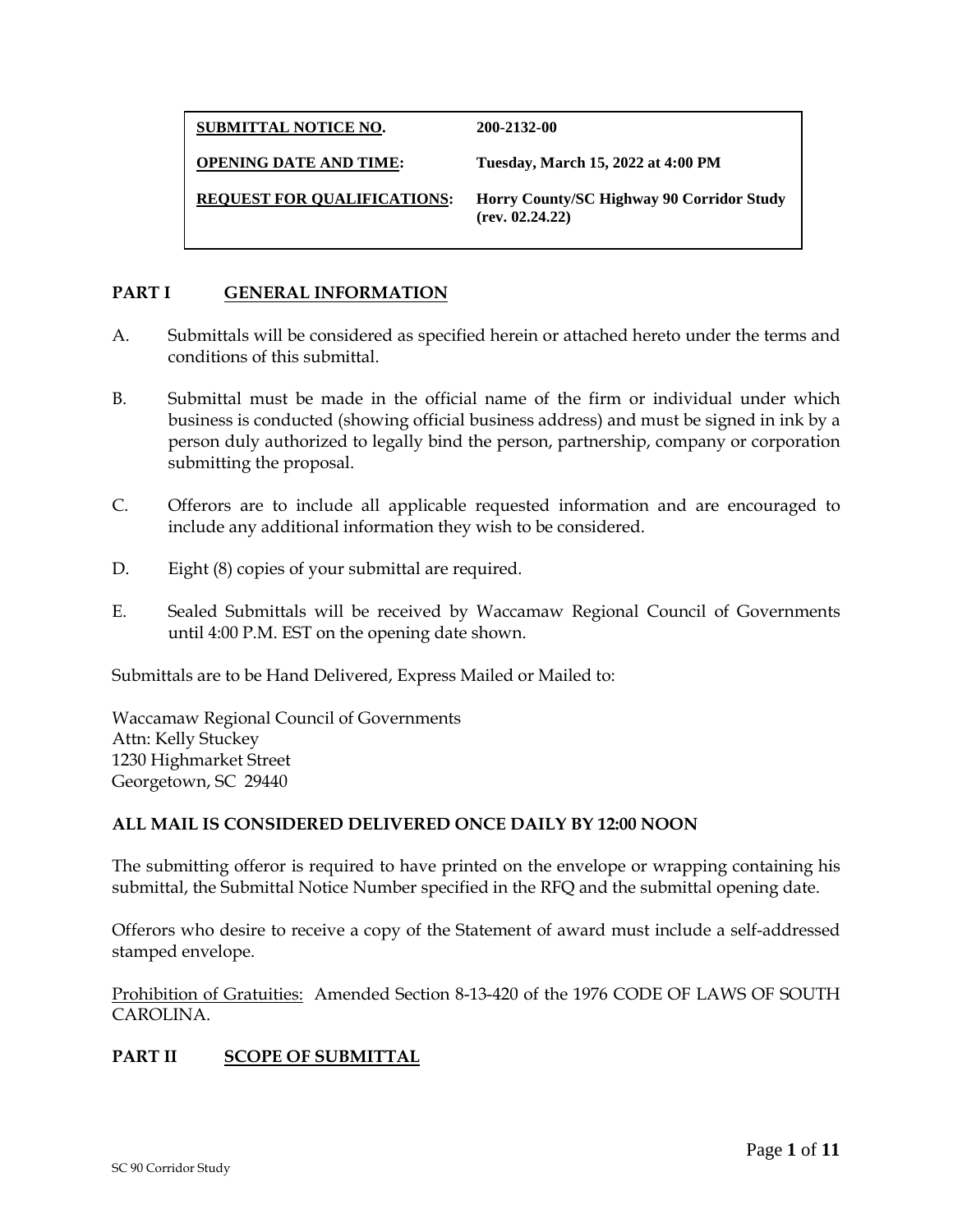**SUBMITTAL NOTICE NO. 200-2132-00** 

**OPENING DATE AND TIME: Tuesday, March 15, 2022 at 4:00 PM** 

**REQUEST FOR QUALIFICATIONS: Horry County/SC Highway 90 Corridor Study (rev. 02.24.22)** 

# **PART I GENERAL INFORMATION**

- A. Submittals will be considered as specified herein or attached hereto under the terms and conditions of this submittal.
- B. Submittal must be made in the official name of the firm or individual under which business is conducted (showing official business address) and must be signed in ink by a person duly authorized to legally bind the person, partnership, company or corporation submitting the proposal.
- C. Offerors are to include all applicable requested information and are encouraged to include any additional information they wish to be considered.
- D. Eight (8) copies of your submittal are required.
- E. Sealed Submittals will be received by Waccamaw Regional Council of Governments until 4:00 P.M. EST on the opening date shown.

Submittals are to be Hand Delivered, Express Mailed or Mailed to:

Waccamaw Regional Council of Governments Attn: Kelly Stuckey 1230 Highmarket Street Georgetown, SC 29440

### **ALL MAIL IS CONSIDERED DELIVERED ONCE DAILY BY 12:00 NOON**

The submitting offeror is required to have printed on the envelope or wrapping containing his submittal, the Submittal Notice Number specified in the RFQ and the submittal opening date.

Offerors who desire to receive a copy of the Statement of award must include a self-addressed stamped envelope.

Prohibition of Gratuities: Amended Section 8-13-420 of the 1976 CODE OF LAWS OF SOUTH CAROLINA.

# **PART II SCOPE OF SUBMITTAL**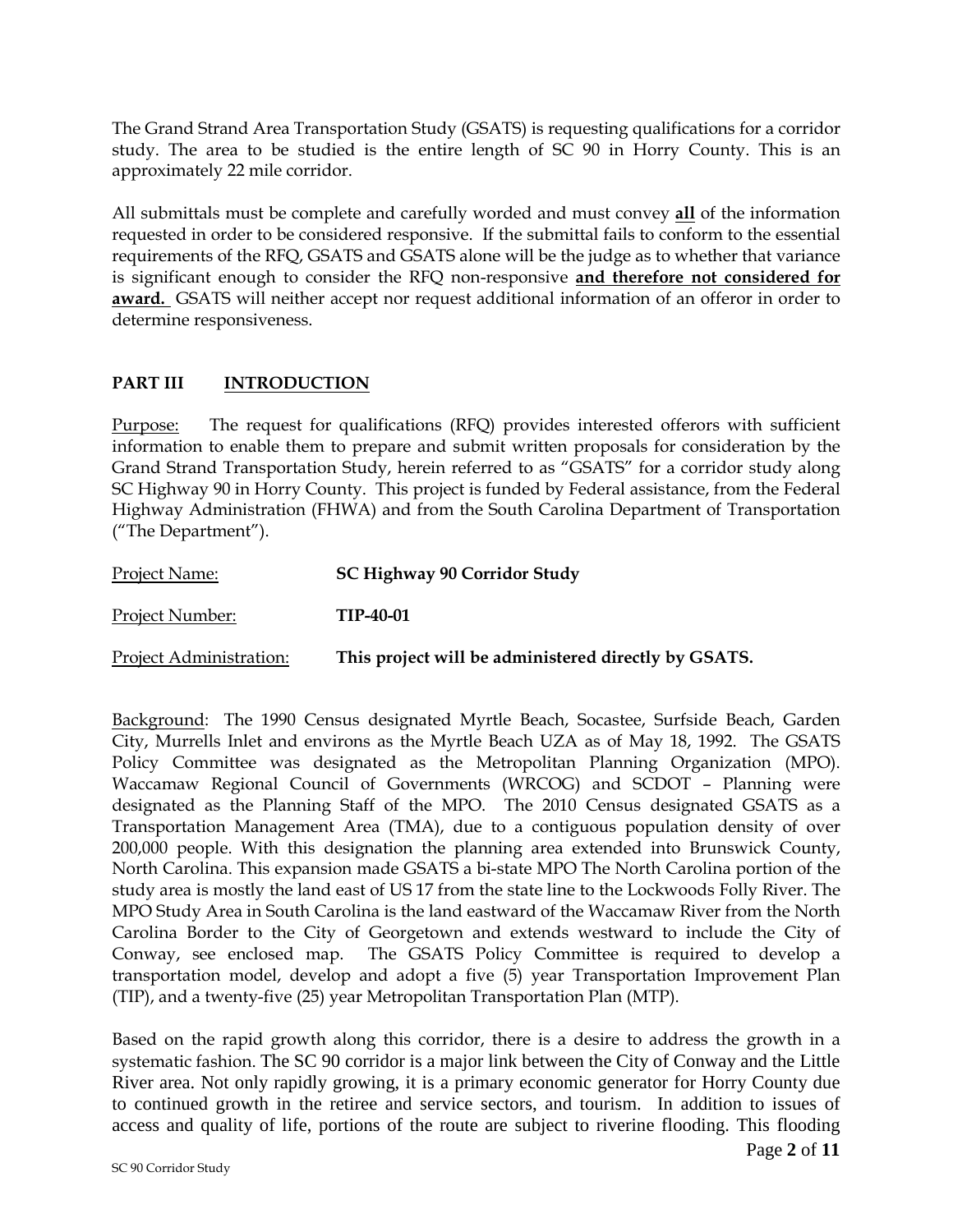The Grand Strand Area Transportation Study (GSATS) is requesting qualifications for a corridor study. The area to be studied is the entire length of SC 90 in Horry County. This is an approximately 22 mile corridor.

All submittals must be complete and carefully worded and must convey **all** of the information requested in order to be considered responsive. If the submittal fails to conform to the essential requirements of the RFQ, GSATS and GSATS alone will be the judge as to whether that variance is significant enough to consider the RFQ non-responsive **and therefore not considered for award.** GSATS will neither accept nor request additional information of an offeror in order to determine responsiveness.

### **PART III INTRODUCTION**

Purpose: The request for qualifications (RFQ) provides interested offerors with sufficient information to enable them to prepare and submit written proposals for consideration by the Grand Strand Transportation Study, herein referred to as "GSATS" for a corridor study along SC Highway 90 in Horry County. This project is funded by Federal assistance, from the Federal Highway Administration (FHWA) and from the South Carolina Department of Transportation ("The Department").

| <b>Project Name:</b>           | <b>SC Highway 90 Corridor Study</b>                  |
|--------------------------------|------------------------------------------------------|
| <b>Project Number:</b>         | TIP-40-01                                            |
| <b>Project Administration:</b> | This project will be administered directly by GSATS. |

Background: The 1990 Census designated Myrtle Beach, Socastee, Surfside Beach, Garden City, Murrells Inlet and environs as the Myrtle Beach UZA as of May 18, 1992. The GSATS Policy Committee was designated as the Metropolitan Planning Organization (MPO). Waccamaw Regional Council of Governments (WRCOG) and SCDOT – Planning were designated as the Planning Staff of the MPO. The 2010 Census designated GSATS as a Transportation Management Area (TMA), due to a contiguous population density of over 200,000 people. With this designation the planning area extended into Brunswick County, North Carolina. This expansion made GSATS a bi-state MPO The North Carolina portion of the study area is mostly the land east of US 17 from the state line to the Lockwoods Folly River. The MPO Study Area in South Carolina is the land eastward of the Waccamaw River from the North Carolina Border to the City of Georgetown and extends westward to include the City of Conway, see enclosed map. The GSATS Policy Committee is required to develop a transportation model, develop and adopt a five (5) year Transportation Improvement Plan (TIP), and a twenty-five (25) year Metropolitan Transportation Plan (MTP).

Based on the rapid growth along this corridor, there is a desire to address the growth in a systematic fashion. The SC 90 corridor is a major link between the City of Conway and the Little River area. Not only rapidly growing, it is a primary economic generator for Horry County due to continued growth in the retiree and service sectors, and tourism. In addition to issues of access and quality of life, portions of the route are subject to riverine flooding. This flooding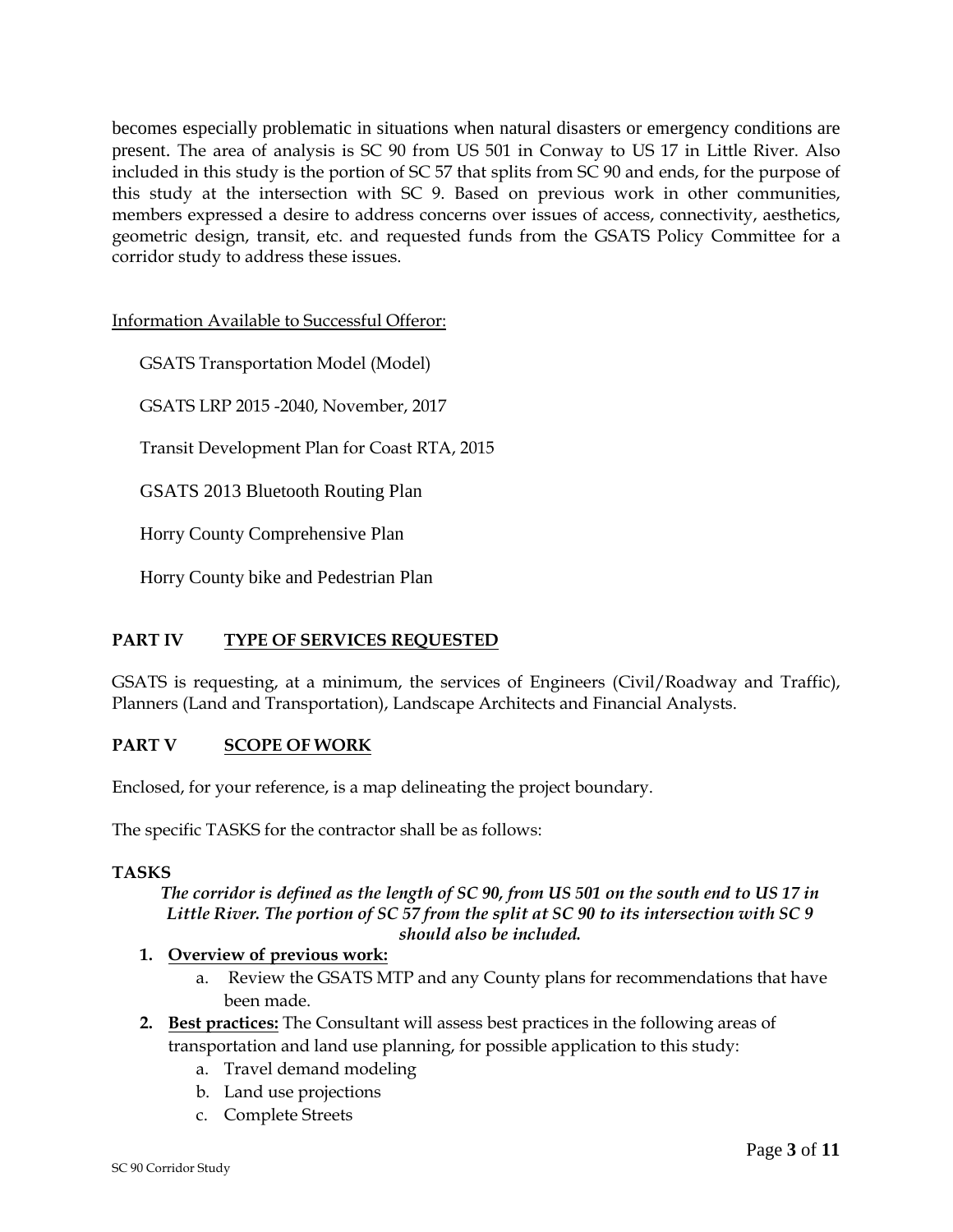becomes especially problematic in situations when natural disasters or emergency conditions are present. The area of analysis is SC 90 from US 501 in Conway to US 17 in Little River. Also included in this study is the portion of SC 57 that splits from SC 90 and ends, for the purpose of this study at the intersection with SC 9. Based on previous work in other communities, members expressed a desire to address concerns over issues of access, connectivity, aesthetics, geometric design, transit, etc. and requested funds from the GSATS Policy Committee for a corridor study to address these issues.

Information Available to Successful Offeror:

GSATS Transportation Model (Model)

GSATS LRP 2015 -2040, November, 2017

Transit Development Plan for Coast RTA, 2015

GSATS 2013 Bluetooth Routing Plan

Horry County Comprehensive Plan

Horry County bike and Pedestrian Plan

### **PART IV TYPE OF SERVICES REQUESTED**

GSATS is requesting, at a minimum, the services of Engineers (Civil/Roadway and Traffic), Planners (Land and Transportation), Landscape Architects and Financial Analysts.

### **PART V SCOPE OF WORK**

Enclosed, for your reference, is a map delineating the project boundary.

The specific TASKS for the contractor shall be as follows:

#### **TASKS**

*The corridor is defined as the length of SC 90, from US 501 on the south end to US 17 in Little River. The portion of SC 57 from the split at SC 90 to its intersection with SC 9 should also be included.*

### **1. Overview of previous work:**

- a. Review the GSATS MTP and any County plans for recommendations that have been made.
- **2. Best practices:** The Consultant will assess best practices in the following areas of transportation and land use planning, for possible application to this study:
	- a. Travel demand modeling
	- b. Land use projections
	- c. Complete Streets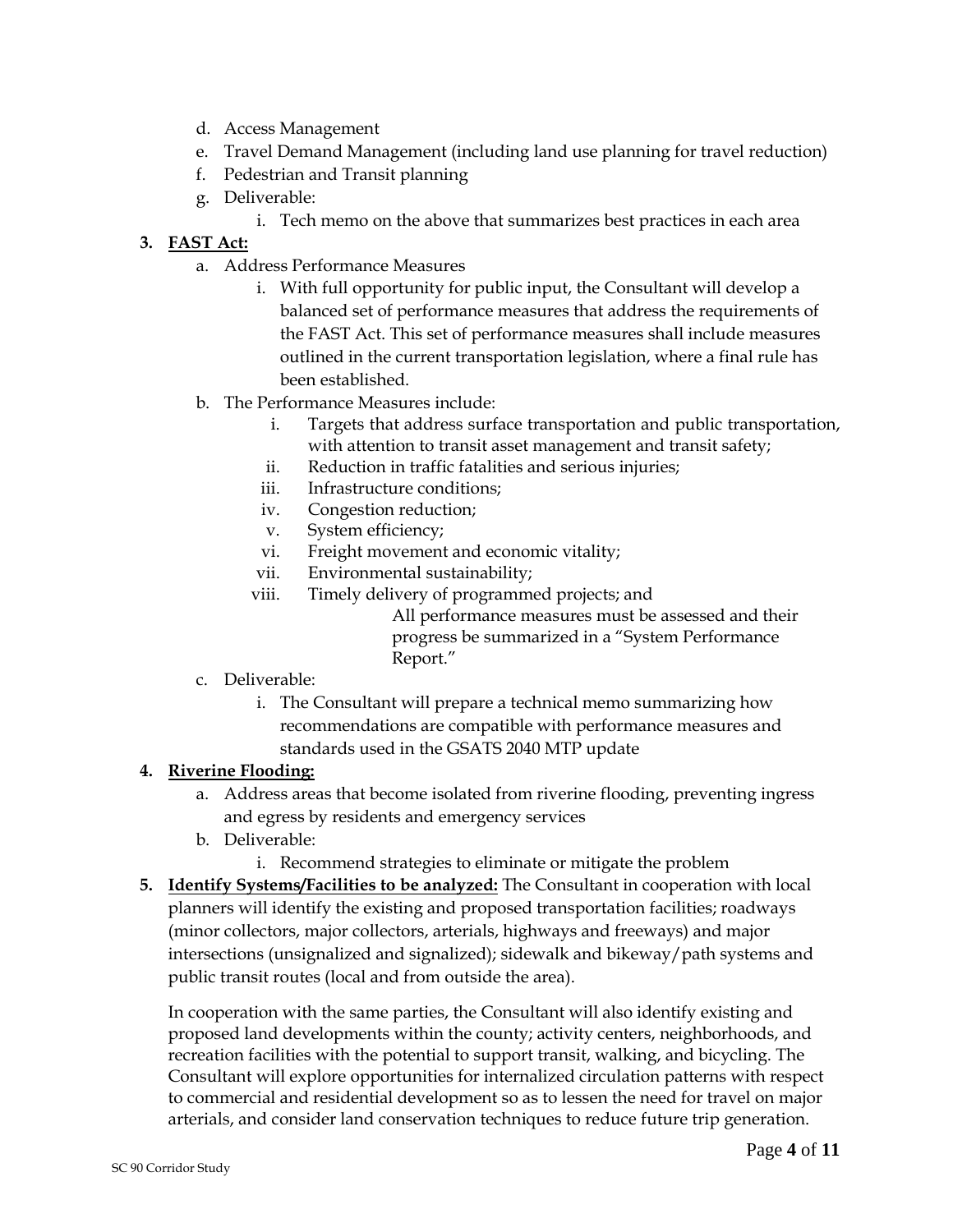- d. Access Management
- e. Travel Demand Management (including land use planning for travel reduction)
- f. Pedestrian and Transit planning
- g. Deliverable:
	- i. Tech memo on the above that summarizes best practices in each area

# **3. FAST Act:**

- a. Address Performance Measures
	- i. With full opportunity for public input, the Consultant will develop a balanced set of performance measures that address the requirements of the FAST Act. This set of performance measures shall include measures outlined in the current transportation legislation, where a final rule has been established.
- b. The Performance Measures include:
	- i. Targets that address surface transportation and public transportation, with attention to transit asset management and transit safety;
	- ii. Reduction in traffic fatalities and serious injuries;
	- iii. Infrastructure conditions;
	- iv. Congestion reduction;
	- v. System efficiency;
	- vi. Freight movement and economic vitality;
	- vii. Environmental sustainability;
	- viii. Timely delivery of programmed projects; and

All performance measures must be assessed and their progress be summarized in a "System Performance Report."

- c. Deliverable:
	- i. The Consultant will prepare a technical memo summarizing how recommendations are compatible with performance measures and standards used in the GSATS 2040 MTP update

# **4. Riverine Flooding:**

- a. Address areas that become isolated from riverine flooding, preventing ingress and egress by residents and emergency services
- b. Deliverable:
	- i. Recommend strategies to eliminate or mitigate the problem
- **5. Identify Systems/Facilities to be analyzed:** The Consultant in cooperation with local planners will identify the existing and proposed transportation facilities; roadways (minor collectors, major collectors, arterials, highways and freeways) and major intersections (unsignalized and signalized); sidewalk and bikeway/path systems and public transit routes (local and from outside the area).

In cooperation with the same parties, the Consultant will also identify existing and proposed land developments within the county; activity centers, neighborhoods, and recreation facilities with the potential to support transit, walking, and bicycling. The Consultant will explore opportunities for internalized circulation patterns with respect to commercial and residential development so as to lessen the need for travel on major arterials, and consider land conservation techniques to reduce future trip generation.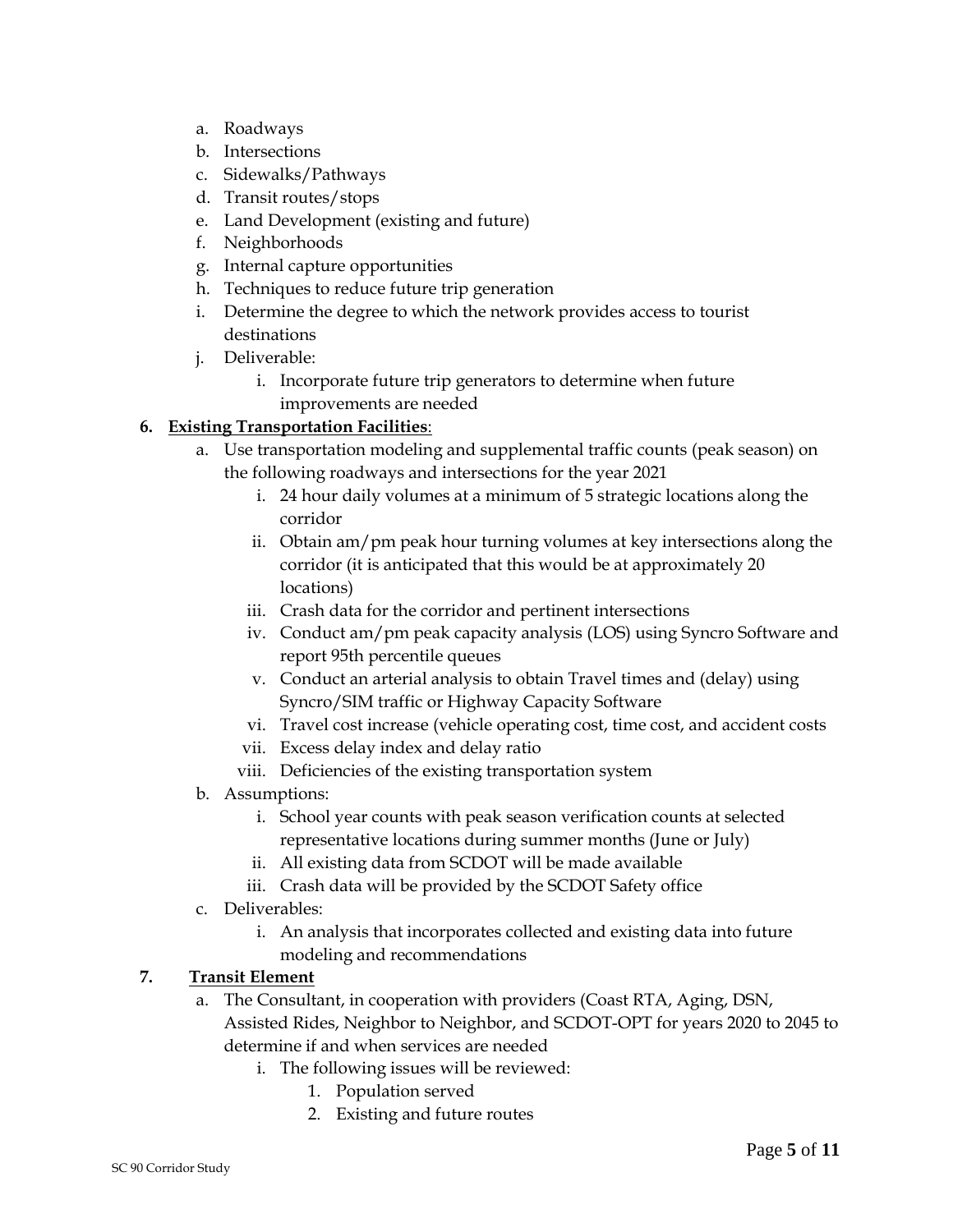- a. Roadways
- b. Intersections
- c. Sidewalks/Pathways
- d. Transit routes/stops
- e. Land Development (existing and future)
- f. Neighborhoods
- g. Internal capture opportunities
- h. Techniques to reduce future trip generation
- i. Determine the degree to which the network provides access to tourist destinations
- j. Deliverable:
	- i. Incorporate future trip generators to determine when future improvements are needed

# **6. Existing Transportation Facilities**:

- a. Use transportation modeling and supplemental traffic counts (peak season) on the following roadways and intersections for the year 2021
	- i. 24 hour daily volumes at a minimum of 5 strategic locations along the corridor
	- ii. Obtain am/pm peak hour turning volumes at key intersections along the corridor (it is anticipated that this would be at approximately 20 locations)
	- iii. Crash data for the corridor and pertinent intersections
	- iv. Conduct am/pm peak capacity analysis (LOS) using Syncro Software and report 95th percentile queues
	- v. Conduct an arterial analysis to obtain Travel times and (delay) using Syncro/SIM traffic or Highway Capacity Software
	- vi. Travel cost increase (vehicle operating cost, time cost, and accident costs
	- vii. Excess delay index and delay ratio
	- viii. Deficiencies of the existing transportation system
- b. Assumptions:
	- i. School year counts with peak season verification counts at selected representative locations during summer months (June or July)
	- ii. All existing data from SCDOT will be made available
	- iii. Crash data will be provided by the SCDOT Safety office
- c. Deliverables:
	- i. An analysis that incorporates collected and existing data into future modeling and recommendations

# **7. Transit Element**

- a. The Consultant, in cooperation with providers (Coast RTA, Aging, DSN, Assisted Rides, Neighbor to Neighbor, and SCDOT-OPT for years 2020 to 2045 to determine if and when services are needed
	- i. The following issues will be reviewed:
		- 1. Population served
		- 2. Existing and future routes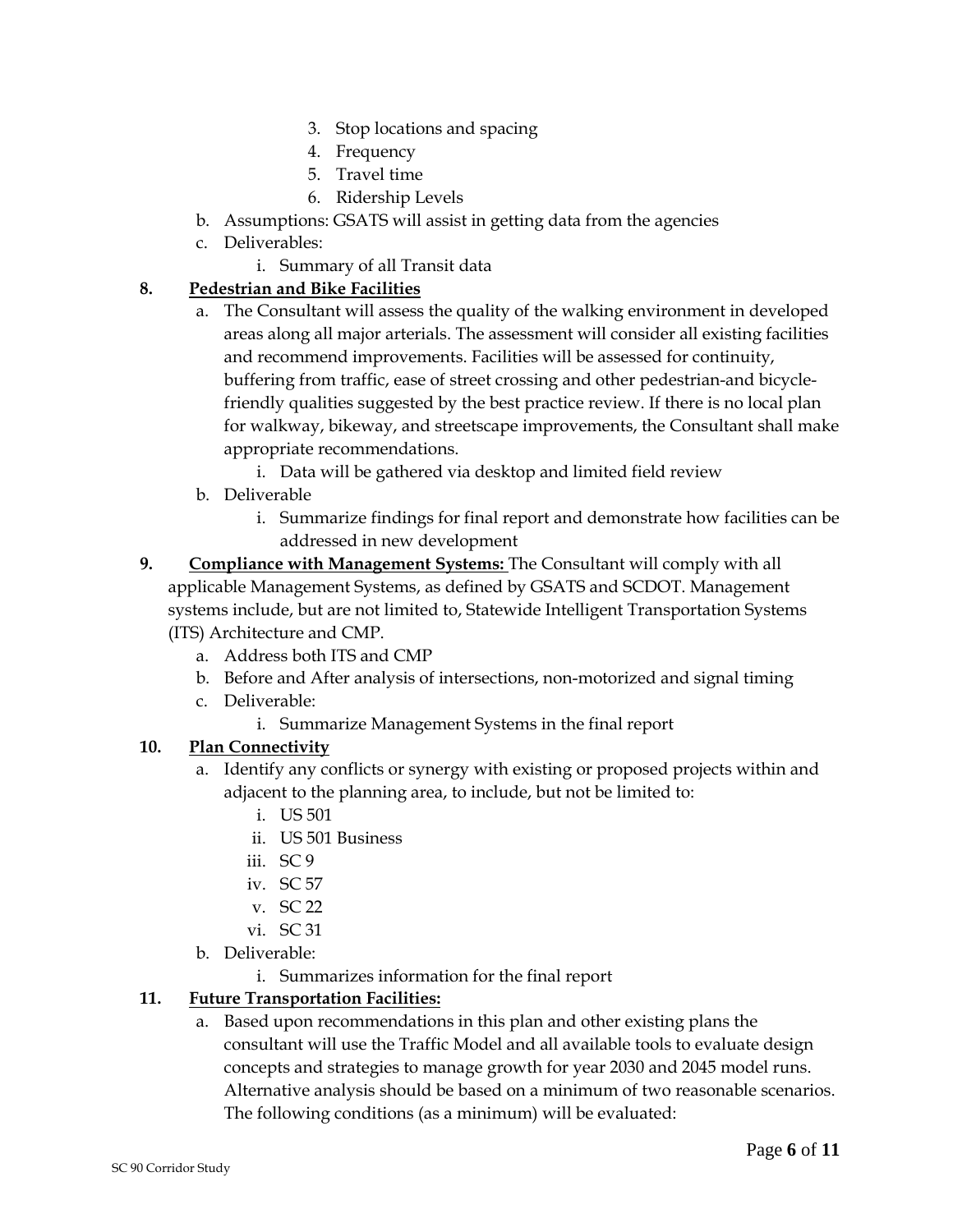- 3. Stop locations and spacing
- 4. Frequency
- 5. Travel time
- 6. Ridership Levels
- b. Assumptions: GSATS will assist in getting data from the agencies
- c. Deliverables:
	- i. Summary of all Transit data

### **8. Pedestrian and Bike Facilities**

- a. The Consultant will assess the quality of the walking environment in developed areas along all major arterials. The assessment will consider all existing facilities and recommend improvements. Facilities will be assessed for continuity, buffering from traffic, ease of street crossing and other pedestrian-and bicyclefriendly qualities suggested by the best practice review. If there is no local plan for walkway, bikeway, and streetscape improvements, the Consultant shall make appropriate recommendations.
	- i. Data will be gathered via desktop and limited field review
- b. Deliverable
	- i. Summarize findings for final report and demonstrate how facilities can be addressed in new development
- **9. Compliance with Management Systems:** The Consultant will comply with all applicable Management Systems, as defined by GSATS and SCDOT. Management systems include, but are not limited to, Statewide Intelligent Transportation Systems (ITS) Architecture and CMP.
	- a. Address both ITS and CMP
	- b. Before and After analysis of intersections, non-motorized and signal timing
	- c. Deliverable:
		- i. Summarize Management Systems in the final report

### **10. Plan Connectivity**

- a. Identify any conflicts or synergy with existing or proposed projects within and adjacent to the planning area, to include, but not be limited to:
	- i. US 501
	- ii. US 501 Business
	- iii. SC 9
	- iv. SC 57
	- v. SC 22
	- vi. SC 31
- b. Deliverable:
	- i. Summarizes information for the final report

# **11. Future Transportation Facilities:**

a. Based upon recommendations in this plan and other existing plans the consultant will use the Traffic Model and all available tools to evaluate design concepts and strategies to manage growth for year 2030 and 2045 model runs. Alternative analysis should be based on a minimum of two reasonable scenarios. The following conditions (as a minimum) will be evaluated: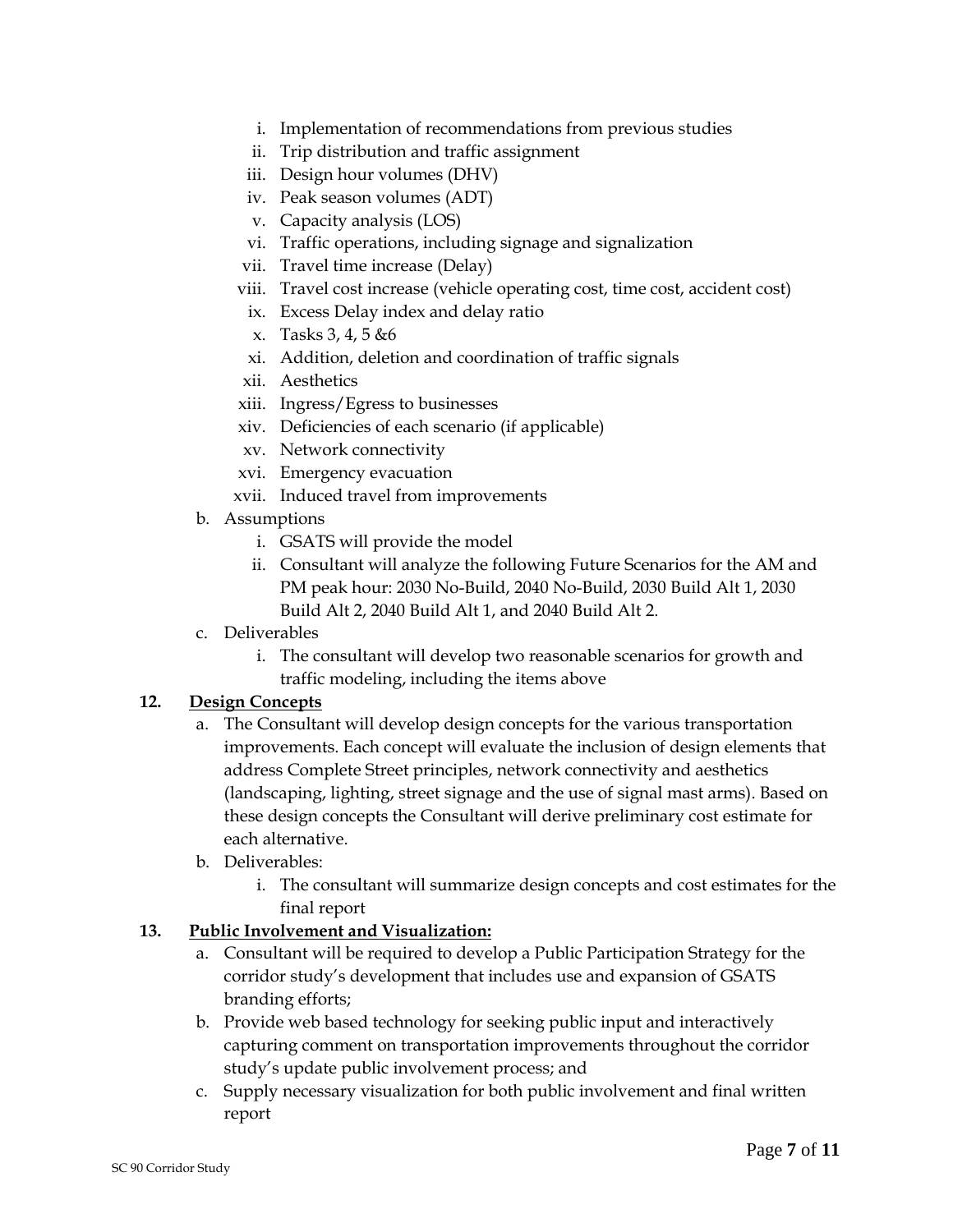- i. Implementation of recommendations from previous studies
- ii. Trip distribution and traffic assignment
- iii. Design hour volumes (DHV)
- iv. Peak season volumes (ADT)
- v. Capacity analysis (LOS)
- vi. Traffic operations, including signage and signalization
- vii. Travel time increase (Delay)
- viii. Travel cost increase (vehicle operating cost, time cost, accident cost)
- ix. Excess Delay index and delay ratio
- x. Tasks 3, 4, 5 &6
- xi. Addition, deletion and coordination of traffic signals
- xii. Aesthetics
- xiii. Ingress/Egress to businesses
- xiv. Deficiencies of each scenario (if applicable)
- xv. Network connectivity
- xvi. Emergency evacuation
- xvii. Induced travel from improvements
- b. Assumptions
	- i. GSATS will provide the model
	- ii. Consultant will analyze the following Future Scenarios for the AM and PM peak hour: 2030 No-Build, 2040 No-Build, 2030 Build Alt 1, 2030 Build Alt 2, 2040 Build Alt 1, and 2040 Build Alt 2.
- c. Deliverables
	- i. The consultant will develop two reasonable scenarios for growth and traffic modeling, including the items above

### **12. Design Concepts**

- a. The Consultant will develop design concepts for the various transportation improvements. Each concept will evaluate the inclusion of design elements that address Complete Street principles, network connectivity and aesthetics (landscaping, lighting, street signage and the use of signal mast arms). Based on these design concepts the Consultant will derive preliminary cost estimate for each alternative.
- b. Deliverables:
	- i. The consultant will summarize design concepts and cost estimates for the final report

### **13. Public Involvement and Visualization:**

- a. Consultant will be required to develop a Public Participation Strategy for the corridor study's development that includes use and expansion of GSATS branding efforts;
- b. Provide web based technology for seeking public input and interactively capturing comment on transportation improvements throughout the corridor study's update public involvement process; and
- c. Supply necessary visualization for both public involvement and final written report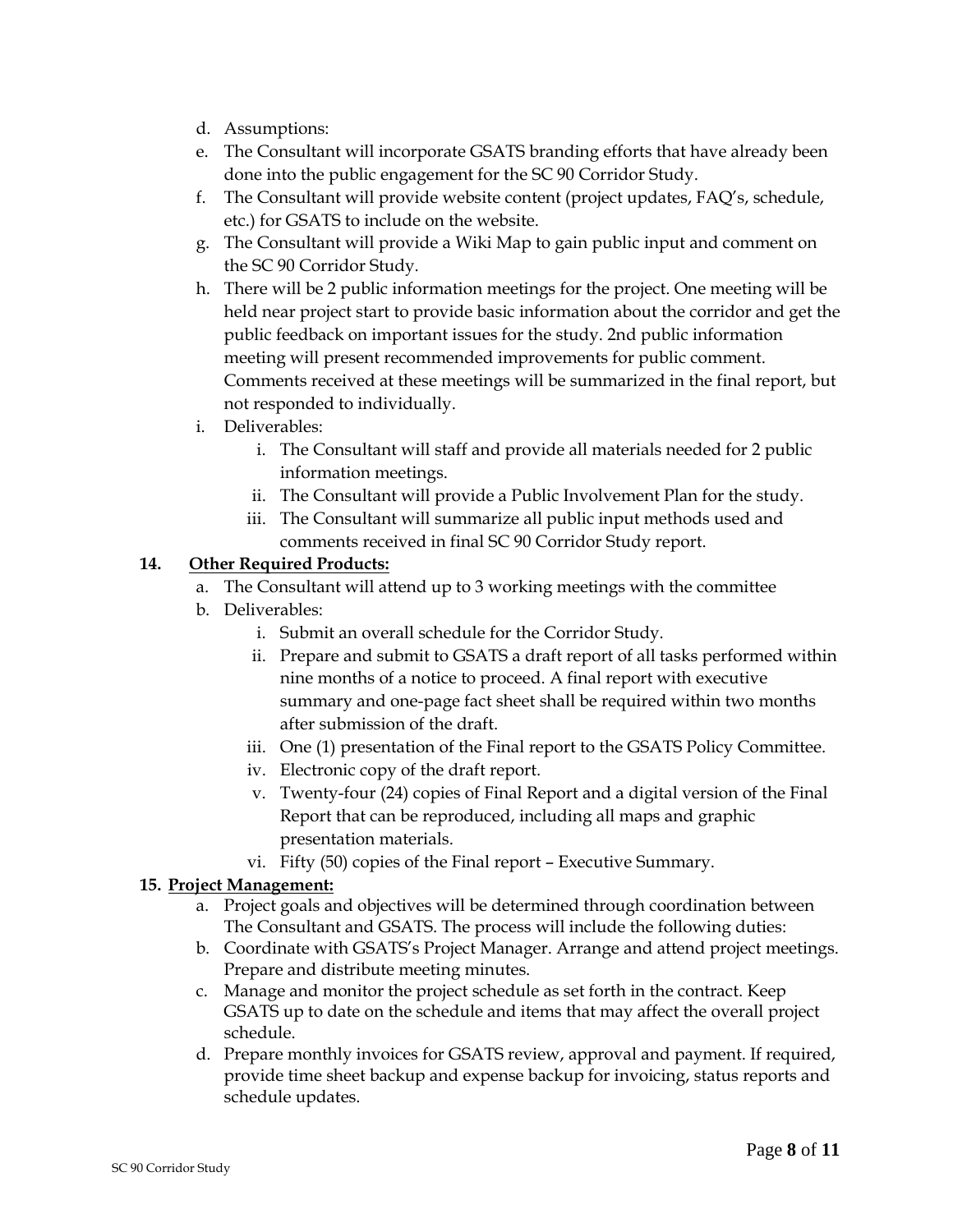- d. Assumptions:
- e. The Consultant will incorporate GSATS branding efforts that have already been done into the public engagement for the SC 90 Corridor Study.
- f. The Consultant will provide website content (project updates, FAQ's, schedule, etc.) for GSATS to include on the website.
- g. The Consultant will provide a Wiki Map to gain public input and comment on the SC 90 Corridor Study.
- h. There will be 2 public information meetings for the project. One meeting will be held near project start to provide basic information about the corridor and get the public feedback on important issues for the study. 2nd public information meeting will present recommended improvements for public comment. Comments received at these meetings will be summarized in the final report, but not responded to individually.
- i. Deliverables:
	- i. The Consultant will staff and provide all materials needed for 2 public information meetings.
	- ii. The Consultant will provide a Public Involvement Plan for the study.
	- iii. The Consultant will summarize all public input methods used and comments received in final SC 90 Corridor Study report.

### **14. Other Required Products:**

- a. The Consultant will attend up to 3 working meetings with the committee
- b. Deliverables:
	- i. Submit an overall schedule for the Corridor Study.
	- ii. Prepare and submit to GSATS a draft report of all tasks performed within nine months of a notice to proceed. A final report with executive summary and one-page fact sheet shall be required within two months after submission of the draft.
	- iii. One (1) presentation of the Final report to the GSATS Policy Committee.
	- iv. Electronic copy of the draft report.
	- v. Twenty-four (24) copies of Final Report and a digital version of the Final Report that can be reproduced, including all maps and graphic presentation materials.
	- vi. Fifty (50) copies of the Final report Executive Summary.

### **15. Project Management:**

- a. Project goals and objectives will be determined through coordination between The Consultant and GSATS. The process will include the following duties:
- b. Coordinate with GSATS's Project Manager. Arrange and attend project meetings. Prepare and distribute meeting minutes.
- c. Manage and monitor the project schedule as set forth in the contract. Keep GSATS up to date on the schedule and items that may affect the overall project schedule.
- d. Prepare monthly invoices for GSATS review, approval and payment. If required, provide time sheet backup and expense backup for invoicing, status reports and schedule updates.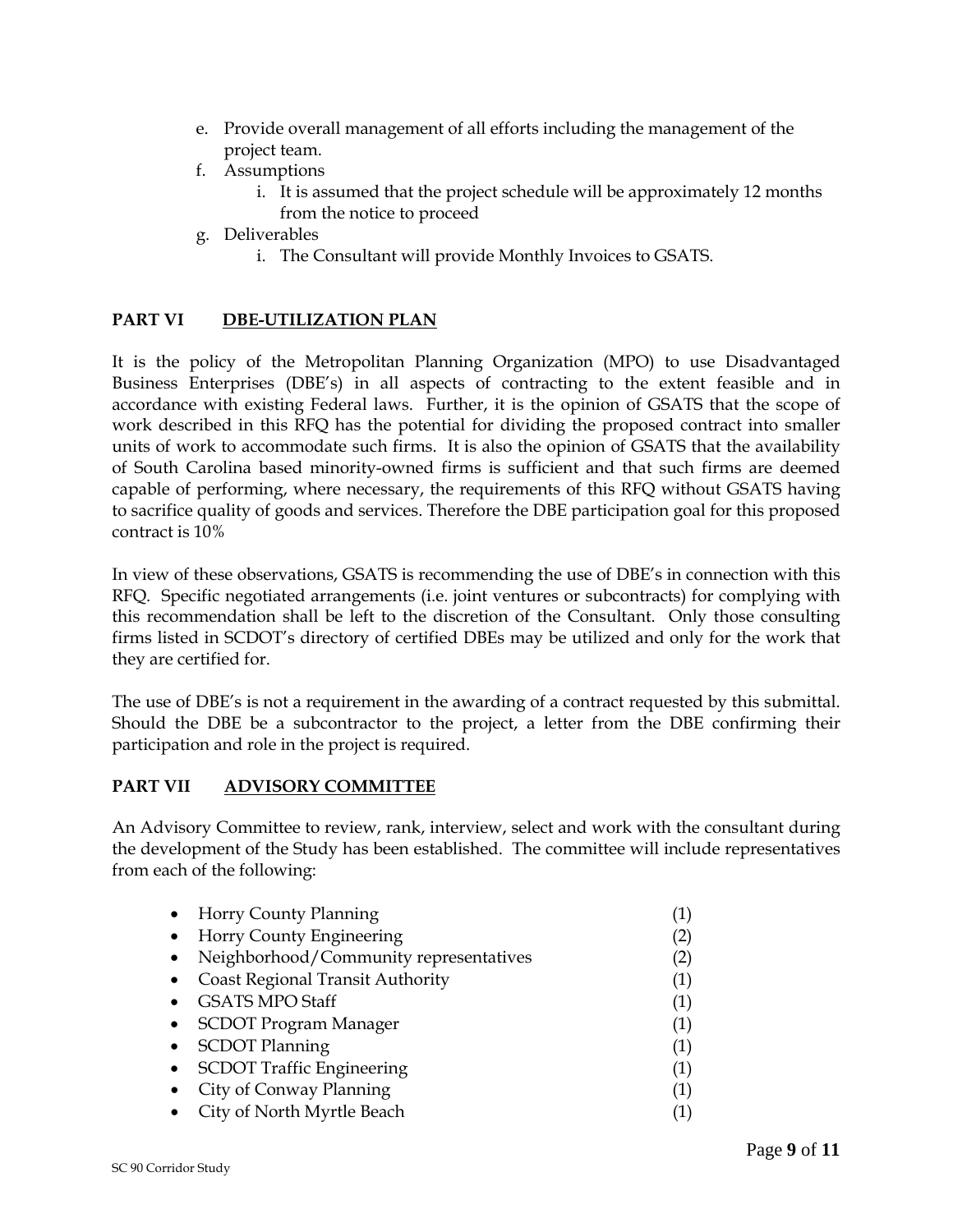- e. Provide overall management of all efforts including the management of the project team.
- f. Assumptions
	- i. It is assumed that the project schedule will be approximately 12 months from the notice to proceed
- g. Deliverables
	- i. The Consultant will provide Monthly Invoices to GSATS.

### **PART VI DBE-UTILIZATION PLAN**

It is the policy of the Metropolitan Planning Organization (MPO) to use Disadvantaged Business Enterprises (DBE's) in all aspects of contracting to the extent feasible and in accordance with existing Federal laws. Further, it is the opinion of GSATS that the scope of work described in this RFQ has the potential for dividing the proposed contract into smaller units of work to accommodate such firms. It is also the opinion of GSATS that the availability of South Carolina based minority-owned firms is sufficient and that such firms are deemed capable of performing, where necessary, the requirements of this RFQ without GSATS having to sacrifice quality of goods and services. Therefore the DBE participation goal for this proposed contract is 10%

In view of these observations, GSATS is recommending the use of DBE's in connection with this RFQ. Specific negotiated arrangements (i.e. joint ventures or subcontracts) for complying with this recommendation shall be left to the discretion of the Consultant. Only those consulting firms listed in SCDOT's directory of certified DBEs may be utilized and only for the work that they are certified for.

The use of DBE's is not a requirement in the awarding of a contract requested by this submittal. Should the DBE be a subcontractor to the project, a letter from the DBE confirming their participation and role in the project is required.

### **PART VII ADVISORY COMMITTEE**

An Advisory Committee to review, rank, interview, select and work with the consultant during the development of the Study has been established. The committee will include representatives from each of the following:

|           | • Horry County Planning                 |                   |
|-----------|-----------------------------------------|-------------------|
|           | • Horry County Engineering              | $\left( 2\right)$ |
| $\bullet$ | Neighborhood/Community representatives  | (2)               |
| $\bullet$ | <b>Coast Regional Transit Authority</b> | (1)               |
| $\bullet$ | <b>GSATS MPO Staff</b>                  | (1)               |
|           | • SCDOT Program Manager                 | (1)               |
|           | • SCDOT Planning                        | (1)               |
|           | • SCDOT Traffic Engineering             | (1)               |
| $\bullet$ | City of Conway Planning                 | (1)               |
|           | • City of North Myrtle Beach            | (1)               |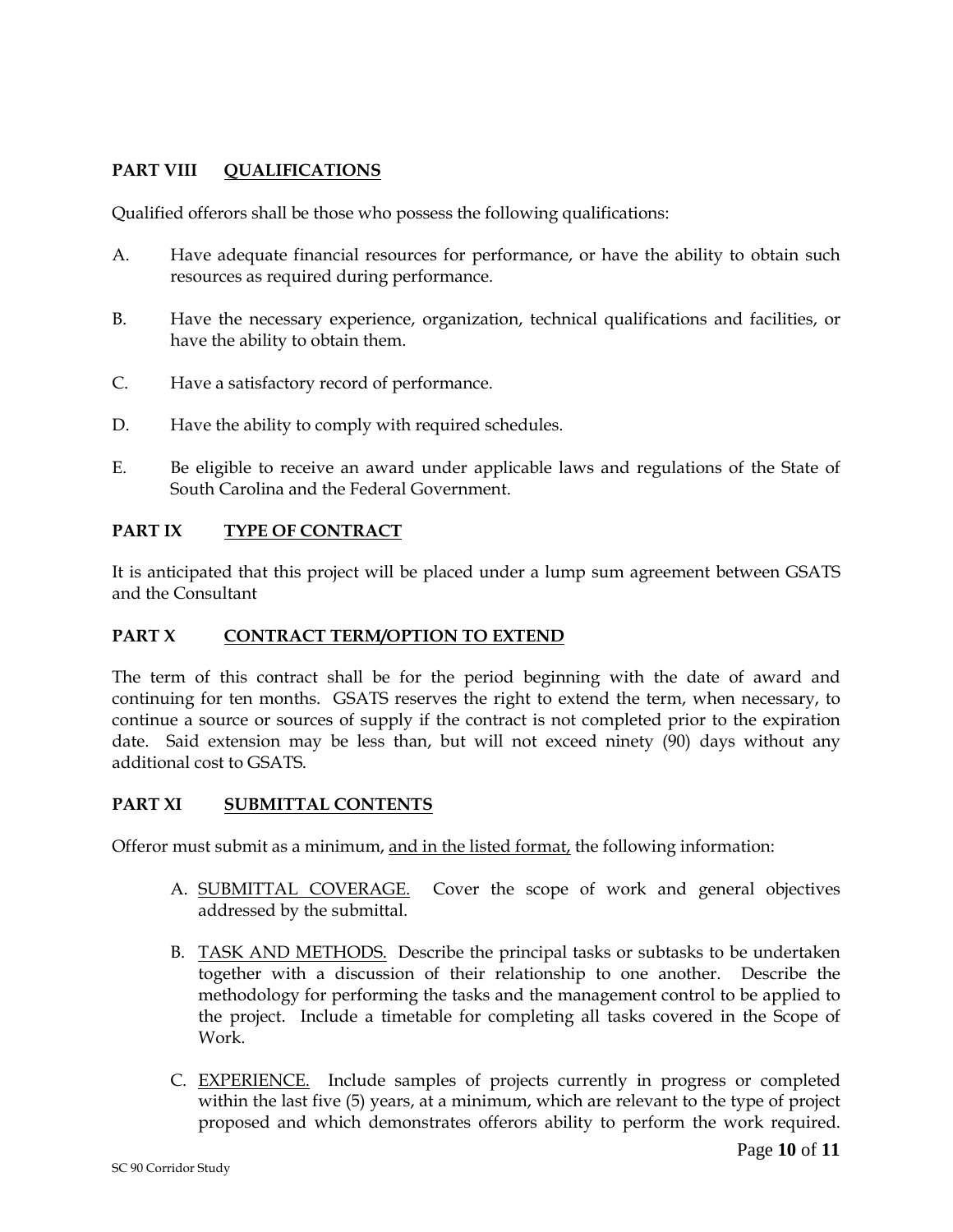# **PART VIII QUALIFICATIONS**

Qualified offerors shall be those who possess the following qualifications:

- A. Have adequate financial resources for performance, or have the ability to obtain such resources as required during performance.
- B. Have the necessary experience, organization, technical qualifications and facilities, or have the ability to obtain them.
- C. Have a satisfactory record of performance.
- D. Have the ability to comply with required schedules.
- E. Be eligible to receive an award under applicable laws and regulations of the State of South Carolina and the Federal Government.

# **PART IX TYPE OF CONTRACT**

It is anticipated that this project will be placed under a lump sum agreement between GSATS and the Consultant

### **PART X CONTRACT TERM/OPTION TO EXTEND**

The term of this contract shall be for the period beginning with the date of award and continuing for ten months. GSATS reserves the right to extend the term, when necessary, to continue a source or sources of supply if the contract is not completed prior to the expiration date. Said extension may be less than, but will not exceed ninety (90) days without any additional cost to GSATS.

### **PART XI SUBMITTAL CONTENTS**

Offeror must submit as a minimum, and in the listed format, the following information:

- A. SUBMITTAL COVERAGE. Cover the scope of work and general objectives addressed by the submittal.
- B. TASK AND METHODS. Describe the principal tasks or subtasks to be undertaken together with a discussion of their relationship to one another. Describe the methodology for performing the tasks and the management control to be applied to the project. Include a timetable for completing all tasks covered in the Scope of Work.
- C. EXPERIENCE. Include samples of projects currently in progress or completed within the last five (5) years, at a minimum, which are relevant to the type of project proposed and which demonstrates offerors ability to perform the work required.